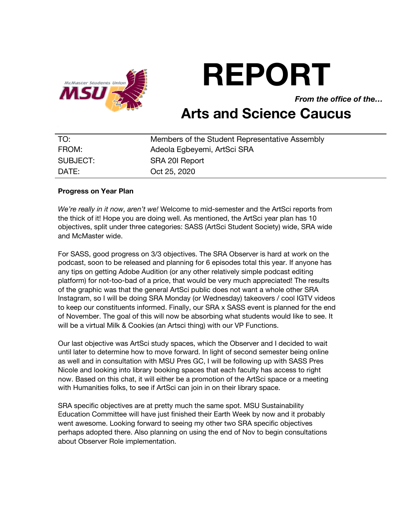

# **REPORT**

*From the office of the…*

# **Arts and Science Caucus**

| TO:      | Members of the Student Representative Assembly |
|----------|------------------------------------------------|
| FROM:    | Adeola Egbeyemi, ArtSci SRA                    |
| SUBJECT: | SRA 201 Report                                 |
| DATE:    | Oct 25, 2020                                   |

#### **Progress on Year Plan**

*We're really in it now, aren't we!* Welcome to mid-semester and the ArtSci reports from the thick of it! Hope you are doing well. As mentioned, the ArtSci year plan has 10 objectives, split under three categories: SASS (ArtSci Student Society) wide, SRA wide and McMaster wide.

For SASS, good progress on 3/3 objectives. The SRA Observer is hard at work on the podcast, soon to be released and planning for 6 episodes total this year. If anyone has any tips on getting Adobe Audition (or any other relatively simple podcast editing platform) for not-too-bad of a price, that would be very much appreciated! The results of the graphic was that the general ArtSci public does not want a whole other SRA Instagram, so I will be doing SRA Monday (or Wednesday) takeovers / cool IGTV videos to keep our constituents informed. Finally, our SRA x SASS event is planned for the end of November. The goal of this will now be absorbing what students would like to see. It will be a virtual Milk & Cookies (an Artsci thing) with our VP Functions.

Our last objective was ArtSci study spaces, which the Observer and I decided to wait until later to determine how to move forward. In light of second semester being online as well and in consultation with MSU Pres GC, I will be following up with SASS Pres Nicole and looking into library booking spaces that each faculty has access to right now. Based on this chat, it will either be a promotion of the ArtSci space or a meeting with Humanities folks, to see if ArtSci can join in on their library space.

SRA specific objectives are at pretty much the same spot. MSU Sustainability Education Committee will have just finished their Earth Week by now and it probably went awesome. Looking forward to seeing my other two SRA specific objectives perhaps adopted there. Also planning on using the end of Nov to begin consultations about Observer Role implementation.